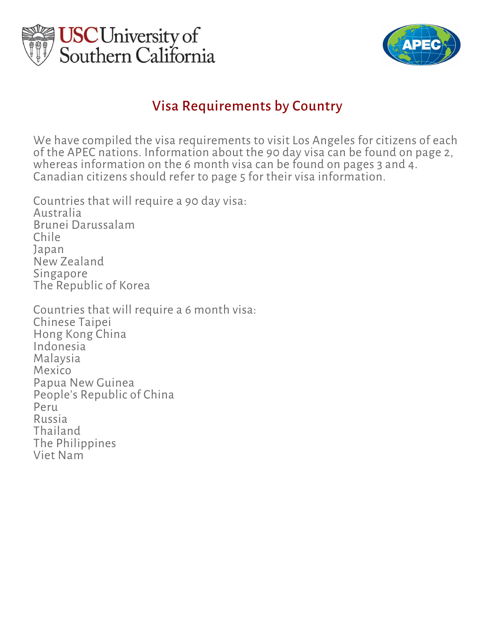



## Visa Requirements by Country

We have compiled the visa requirements to visit Los Angeles for citizens of each of the APEC nations. Information about the 90 day visa can be found on page 2, whereas information on the 6 month visa can be found on pages 3 and 4. Canadian citizens should refer to page 5 for their visa information.

Countries that will require a 90 day visa: Australia Brunei Darussalam Chile Japan New Zealand Singapore The Republic of Korea

Countries that will require a 6 month visa: Chinese Taipei Hong Kong China Indonesia Malaysia Mexico Papua New Guinea People's Republic of China Peru Russia Thailand The Philippines Viet Nam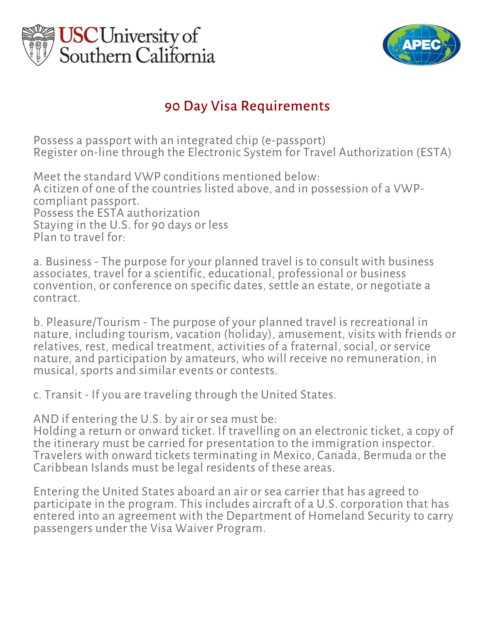



# 90 Day Visa Requirements

Possess a passport with an integrated chip (e-passport) Register on-line through the Electronic System for Travel Authorization (ESTA)

Meet the standard VWP conditions mentioned below: A citizen of one of the countries listed above, and in possession of a VWPcompliant passport. Possess the ESTA authorization Staying in the U.S. for 90 days or less Plan to travel for:

a. Business - The purpose for your planned travel is to consult with business associates, travel for a scientific, educational, professional or business convention, or conference on specific dates, settle an estate, or negotiate a contract.

b. Pleasure/Tourism - The purpose of your planned travel is recreational in nature, including tourism, vacation (holiday), amusement, visits with friends or relatives, rest, medical treatment, activities of a fraternal, social, or service nature, and participation by amateurs, who will receive no remuneration, in musical, sports and similar events or contests.

c. Transit - If you are traveling through the United States.

AND if entering the U.S. by air or sea must be:

Holding a return or onward ticket. If travelling on an electronic ticket, a copy of the itinerary must be carried for presentation to the immigration inspector. Travelers with onward tickets terminating in Mexico, Canada, Bermuda or the Caribbean Islands must be legal residents of these areas.

Entering the United States aboard an air or sea carrier that has agreed to participate in the program. This includes aircraft of a U.S. corporation that has entered into an agreement with the Department of Homeland Security to carry passengers under the Visa Waiver Program.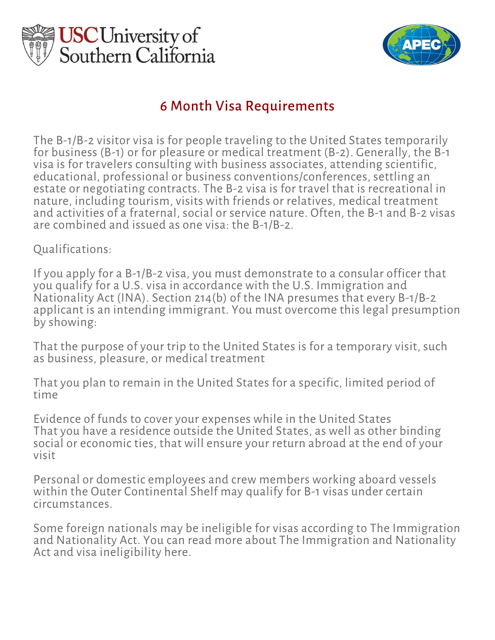



## 6 Month Visa Requirements

The B-1/B-2 visitor visa is for people traveling to the United States temporarily for business (B-1) or for pleasure or medical treatment (B-2). Generally, the B-1 visa is for travelers consulting with business associates, attending scientific, educational, professional or business conventions/conferences, settling an estate or negotiating contracts. The B-2 visa is for travel that is recreational in nature, including tourism, visits with friends or relatives, medical treatment and activities of a fraternal, social or service nature. Often, the B-1 and B-2 visas are combined and issued as one visa: the B-1/B-2.

Qualifications:

If you apply for a B-1/B-2 visa, you must demonstrate to a consular officer that you qualify for a U.S. visa in accordance with the U.S. Immigration and Nationality Act (INA). Section 214(b) of the INA presumes that every B-1/B-2 applicant is an intending immigrant. You must overcome this legal presumption by showing:

That the purpose of your trip to the United States is for a temporary visit, such as business, pleasure, or medical treatment

That you plan to remain in the United States for a specific, limited period of time

Evidence of funds to cover your expenses while in the United States That you have a residence outside the United States, as well as other binding social or economic ties, that will ensure your return abroad at the end of your visit

Personal or domestic employees and crew members working aboard vessels within the Outer Continental Shelf may qualify for B-1 visas under certain circumstances.

Some foreign nationals may be ineligible for visas according to The Immigration and Nationality Act. You can read more about The Immigration and Nationality Act and visa ineligibility here.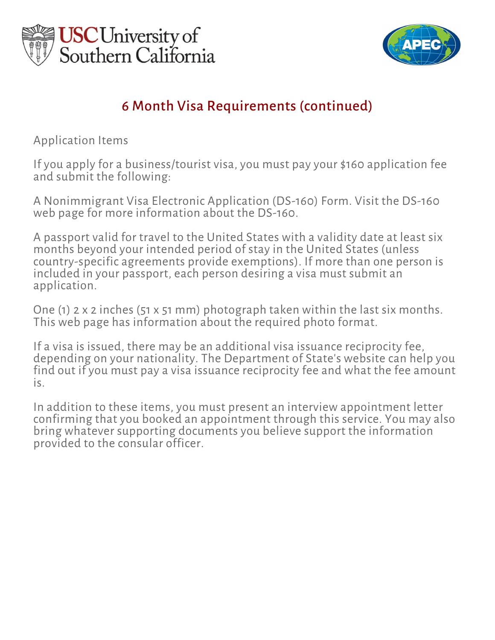



# 6 Month Visa Requirements (continued)

Application Items

If you apply for a business/tourist visa, you must pay your \$160 application fee and submit the following:

A Nonimmigrant Visa Electronic Application (DS-160) Form. Visit the DS-160 web page for more information about the DS-160.

A passport valid for travel to the United States with a validity date at least six months beyond your intended period of stay in the United States (unless country-specific agreements provide exemptions). If more than one person is included in your passport, each person desiring a visa must submit an application.

One (1) 2 x 2 inches (51 x 51 mm) photograph taken within the last six months. This web page has information about the required photo format.

If a visa is issued, there may be an additional visa issuance reciprocity fee, depending on your nationality. The Department of State's website can help you find out if you must pay a visa issuance reciprocity fee and what the fee amount is.

In addition to these items, you must present an interview appointment letter confirming that you booked an appointment through this service. You may also bring whatever supporting documents you believe support the information provided to the consular officer.